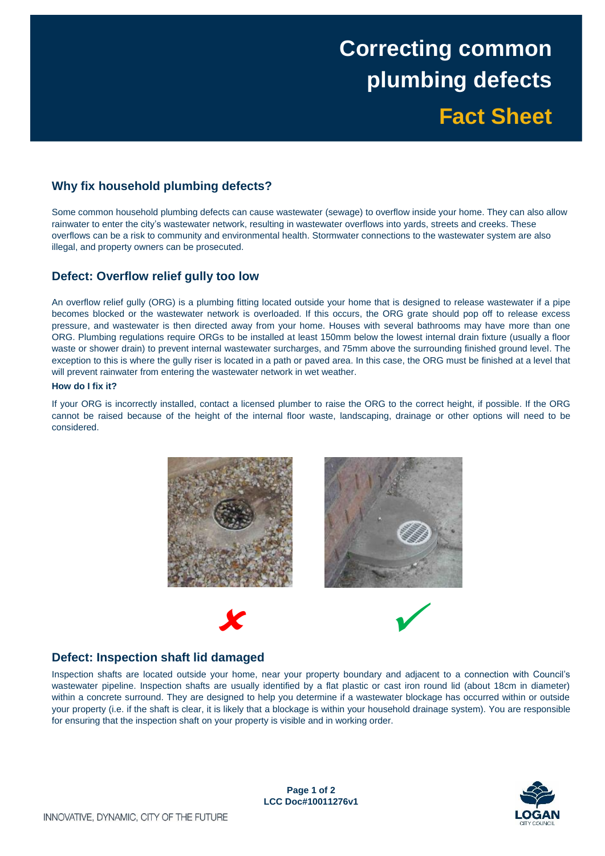# **Correcting common plumbing defects Fact Sheet**

## **Why fix household plumbing defects?**

 Some common household plumbing defects can cause wastewater (sewage) to overflow inside your home. They can also allow rainwater to enter the city's wastewater network, resulting in wastewater overflows into yards, streets and creeks. These overflows can be a risk to community and environmental health. Stormwater connections to the wastewater system are also illegal, and property owners can be prosecuted.

## **Defect: Overflow relief gully too low**

 An overflow relief gully (ORG) is a plumbing fitting located outside your home that is designed to release wastewater if a pipe becomes blocked or the wastewater network is overloaded. If this occurs, the ORG grate should pop off to release excess pressure, and wastewater is then directed away from your home. Houses with several bathrooms may have more than one ORG. Plumbing regulations require ORGs to be installed at least 150mm below the lowest internal drain fixture (usually a floor waste or shower drain) to prevent internal wastewater surcharges, and 75mm above the surrounding finished ground level. The exception to this is where the gully riser is located in a path or paved area. In this case, the ORG must be finished at a level that will prevent rainwater from entering the wastewater network in wet weather.

#### **How do I fix it?**

 If your ORG is incorrectly installed, contact a licensed plumber to raise the ORG to the correct height, if possible. If the ORG cannot be raised because of the height of the internal floor waste, landscaping, drainage or other options will need to be considered.



## **Defect: Inspection shaft lid damaged**

 Inspection shafts are located outside your home, near your property boundary and adjacent to a connection with Council's wastewater pipeline. Inspection shafts are usually identified by a flat plastic or cast iron round lid (about 18cm in diameter) within a concrete surround. They are designed to help you determine if a wastewater blockage has occurred within or outside your property (i.e. if the shaft is clear, it is likely that a blockage is within your household drainage system). You are responsible for ensuring that the inspection shaft on your property is visible and in working order.

> **Page 1 of 2 LCC Doc#10011276v1**